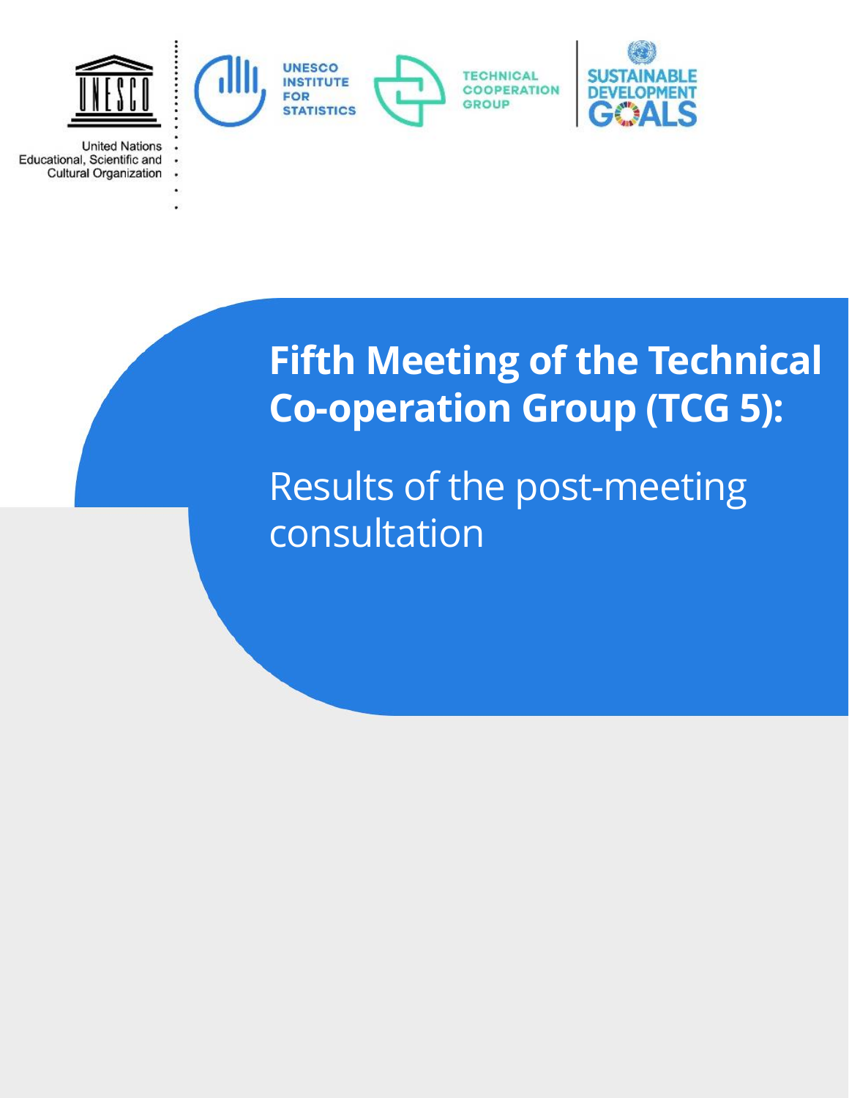

**United Nations** Educational, Scientific and **Cultural Organization** 

> **Fifth Meeting of the Technical Co-operation Group (TCG 5):**

Results of the post-meeting consultation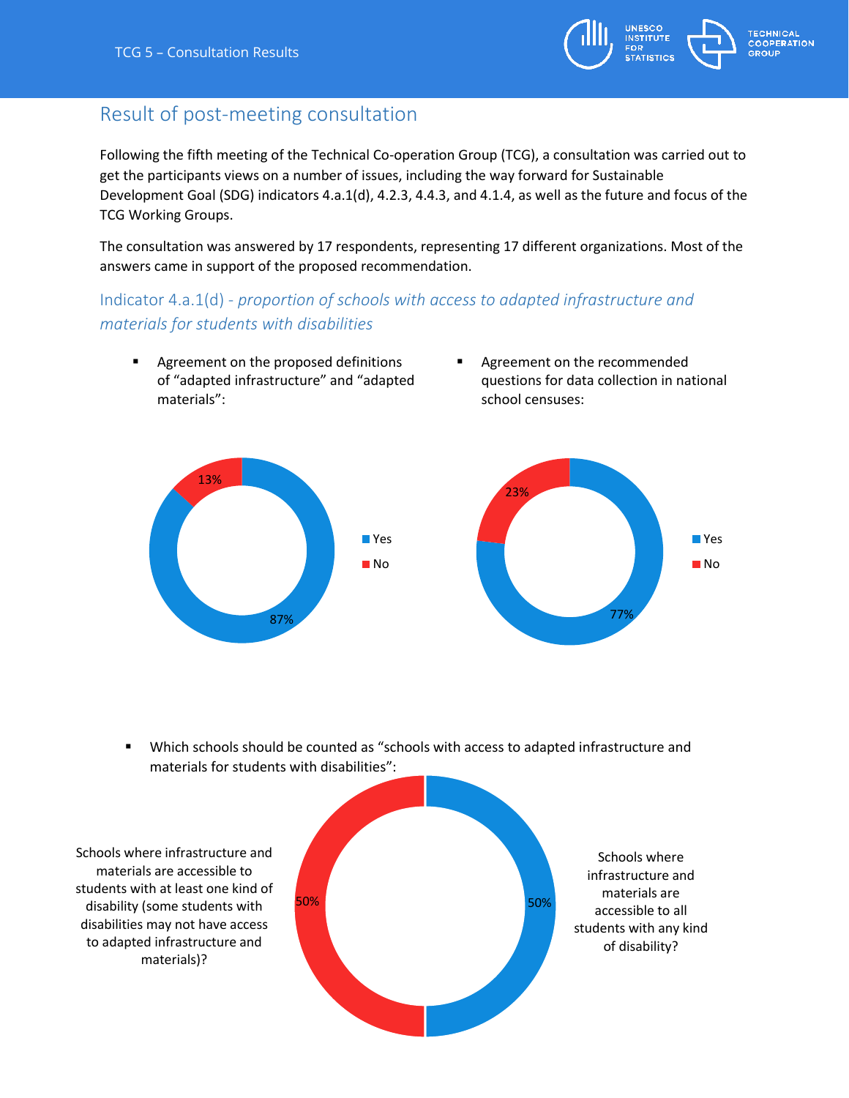

# Result of post-meeting consultation

Following the fifth meeting of the Technical Co-operation Group (TCG), a consultation was carried out to get the participants views on a number of issues, including the way forward for Sustainable Development Goal (SDG) indicators 4.a.1(d), 4.2.3, 4.4.3, and 4.1.4, as well as the future and focus of the TCG Working Groups.

The consultation was answered by 17 respondents, representing 17 different organizations. Most of the answers came in support of the proposed recommendation.

# Indicator 4.a.1(d) - *proportion of schools with access to adapted infrastructure and materials for students with disabilities*

- **Agreement on the proposed definitions** of "adapted infrastructure" and "adapted materials":
- Agreement on the recommended questions for data collection in national school censuses:



 Which schools should be counted as "schools with access to adapted infrastructure and materials for students with disabilities":

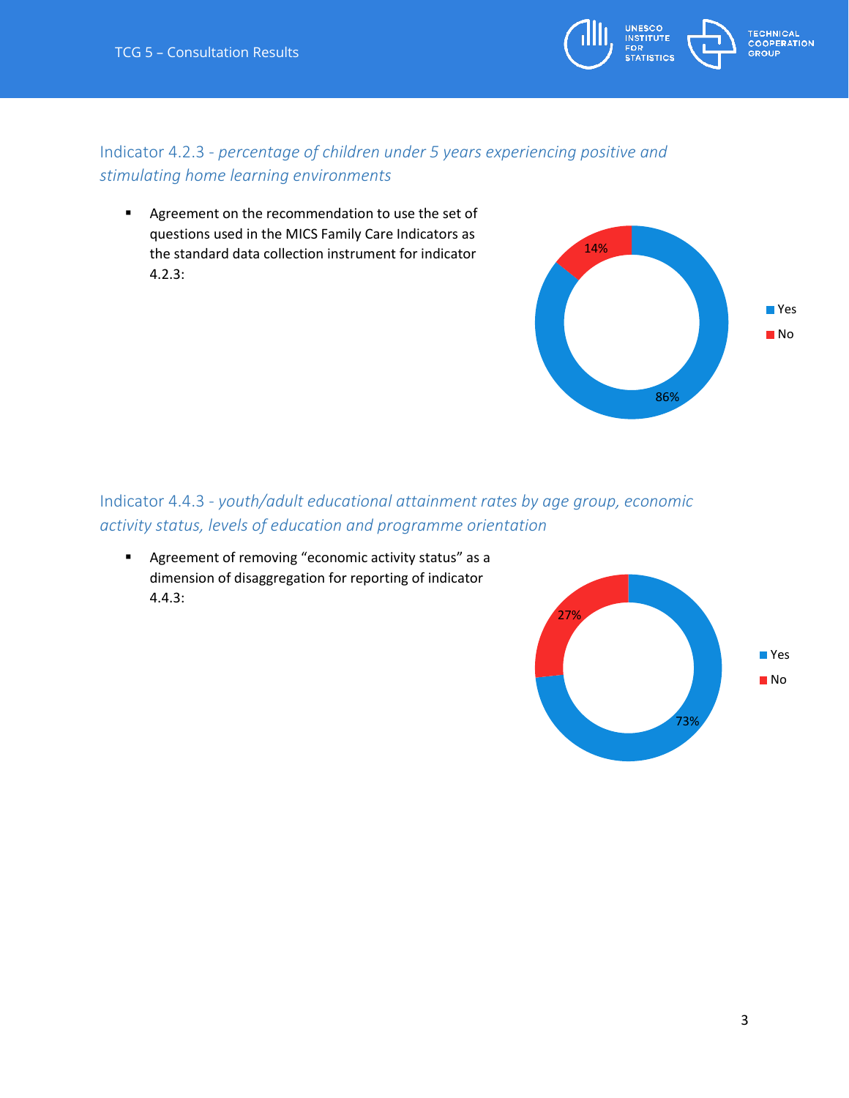

### Indicator 4.2.3 - *percentage of children under 5 years experiencing positive and stimulating home learning environments*

**Agreement on the recommendation to use the set of** questions used in the MICS Family Care Indicators as the standard data collection instrument for indicator 4.2.3:

### Indicator 4.4.3 - *youth/adult educational attainment rates by age group, economic activity status, levels of education and programme orientation*

 Agreement of removing "economic activity status" as a dimension of disaggregation for reporting of indicator 4.4.3:



86%

■ Yes ■No

14%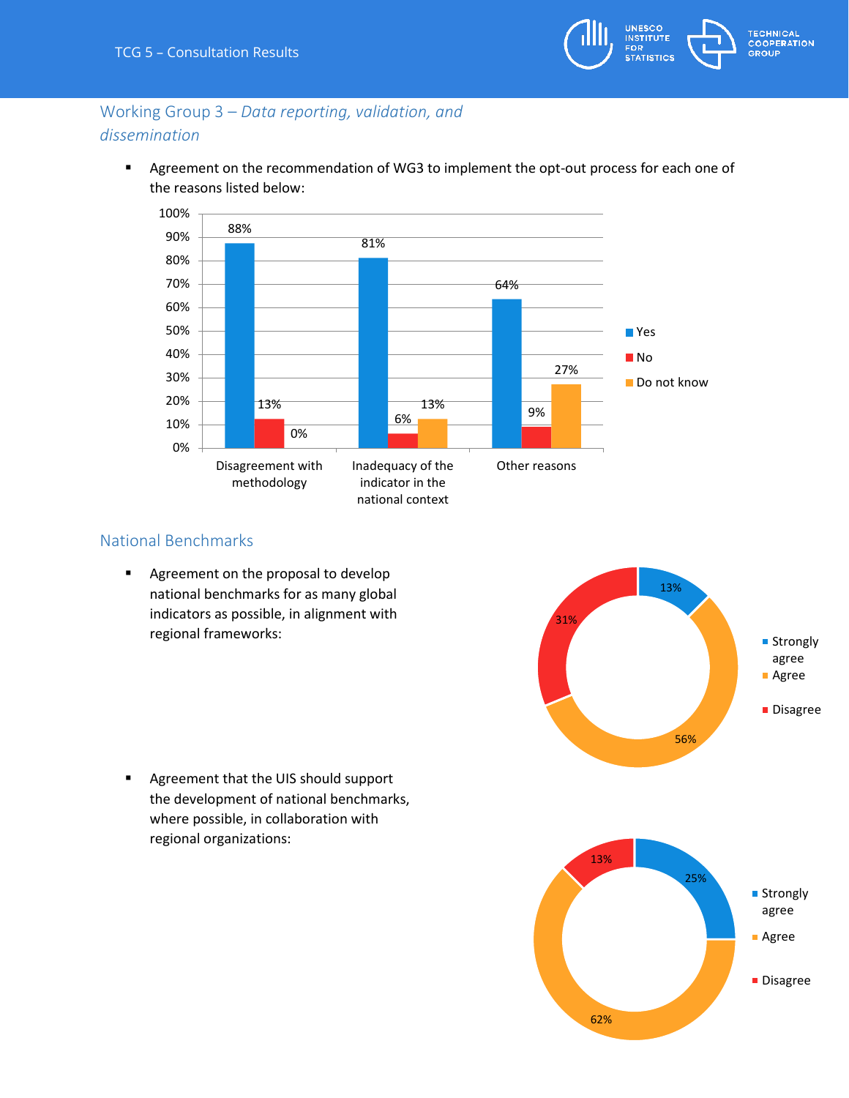

# Working Group 3 – *Data reporting, validation, and dissemination*

**Agreement on the recommendation of WG3 to implement the opt-out process for each one of** the reasons listed below:



#### National Benchmarks

**Agreement on the proposal to develop** national benchmarks for as many global indicators as possible, in alignment with regional frameworks:



**Agreement that the UIS should support** the development of national benchmarks, where possible, in collaboration with regional organizations: